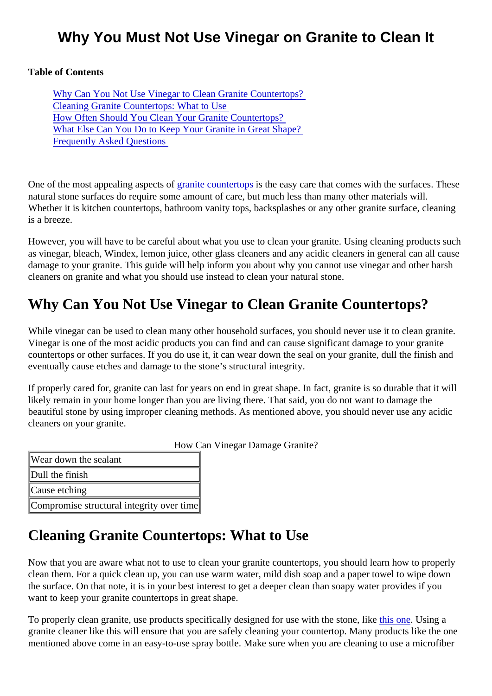## Why You Must Not Use Vinegar on Granite to Clean It

Table of Contents

Why Can You Not Use Vinegar to Clean Granite Countertops? Cleaning Granite Countertops: What to Use [How Often Should You Clean Your Granite Counterto](#page-1-0)ps? [What Else Can You Do to Keep Your Granite in Great Sh](#page-1-0)ape? [Frequently Asked Question](#page-1-0)s

Oneof the most appealing aspects rainite countertops the easy care that comes with the surfaces. These natural stone surfaces do require some amount of care, but much less than many other materials will. Whether it is kitchen countertops, bathroom vanity tops, backsplashes or any other granite surface, cleani is a breeze.

However, you will have to be careful about what you use to clean your granite. Using cleaning products sure as vinegar, bleach, Windex, lemon juice, other glass cleaners and any acidic cleaners in general can all ca damage to your granite. This guide will help inform you about why you cannot use vinegar and other harsh cleaners on granite and what you should use instead to clean your natural stone.

## Why Can You Not Use Vinegar to Clean Granite Countertops?

While vinegar can be used to clean many other household surfaces, you should never use it to clean grane Vinegar is one of the most acidic products you can find and can cause significant damage to your granite countertops or other surfaces. If you do use it, it can wear down the seal on your granite, dull the finish an eventually cause etches and damage to the stone's structural integrity.

If properly cared for, granite can last for years on end in great shape. In fact, granite is so durable that it w likely remain in your home longer than you are living there. That said, you do not want to damage the beautiful stone by using improper cleaning methods. As mentioned above, you should never use any acidicated cleaners on your granite.

How Can Vinegar Damage Granite?

Wear down the sealant

Dull the finish

Cause etching

Compromise structural integrity over time

### Cleaning Granite Countertops: What to Use

Now that you are aware what not to use to clean your granite countertops, you should learn how to proper clean them. For a quick clean up, you can use warm water, mild dish soap and a paper towel to wipe down the surface. On that note, it is in your best interest to get a deeper clean than soapy water provides if you want to keep your granite countertops in great shape.

To properly clean granite, use products specifically designed for use with the stoties love. Using a granite cleaner like this will ensure that you are safely cleaning your countertop. Many products like the or mentioned above come in an easy-to-use spray bottle. Make sure when you are cleaning to use a microfib